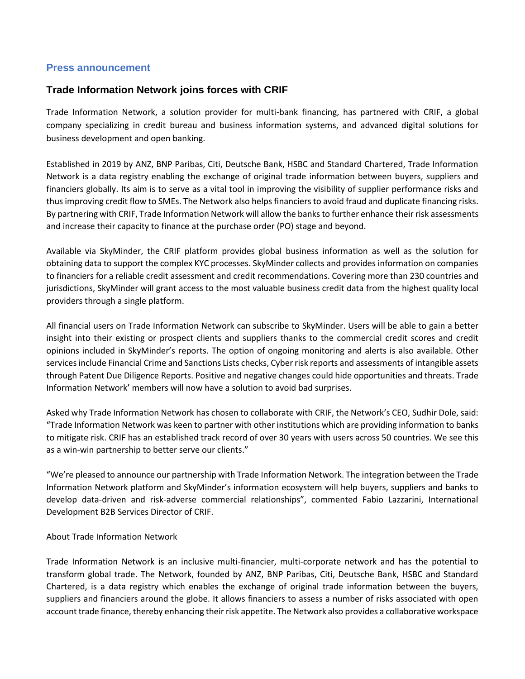## **Press announcement**

## **Trade Information Network joins forces with CRIF**

Trade Information Network, a solution provider for multi-bank financing, has partnered with CRIF, a global company specializing in credit bureau and business information systems, and advanced digital solutions for business development and open banking.

Established in 2019 by ANZ, BNP Paribas, Citi, Deutsche Bank, HSBC and Standard Chartered, Trade Information Network is a data registry enabling the exchange of original trade information between buyers, suppliers and financiers globally. Its aim is to serve as a vital tool in improving the visibility of supplier performance risks and thus improving credit flow to SMEs. The Network also helps financiers to avoid fraud and duplicate financing risks. By partnering with CRIF, Trade Information Network will allow the banks to further enhance their risk assessments and increase their capacity to finance at the purchase order (PO) stage and beyond.

Available via SkyMinder, the CRIF platform provides global business information as well as the solution for obtaining data to support the complex KYC processes. SkyMinder collects and provides information on companies to financiers for a reliable credit assessment and credit recommendations. Covering more than 230 countries and jurisdictions, SkyMinder will grant access to the most valuable business credit data from the highest quality local providers through a single platform.

All financial users on Trade Information Network can subscribe to SkyMinder. Users will be able to gain a better insight into their existing or prospect clients and suppliers thanks to the commercial credit scores and credit opinions included in SkyMinder's reports. The option of ongoing monitoring and alerts is also available. Other services include Financial Crime and Sanctions Lists checks, Cyber risk reports and assessments of intangible assets through Patent Due Diligence Reports. Positive and negative changes could hide opportunities and threats. Trade Information Network' members will now have a solution to avoid bad surprises.

Asked why Trade Information Network has chosen to collaborate with CRIF, the Network's CEO, Sudhir Dole, said: "Trade Information Network was keen to partner with other institutions which are providing information to banks to mitigate risk. CRIF has an established track record of over 30 years with users across 50 countries. We see this as a win-win partnership to better serve our clients."

"We're pleased to announce our partnership with Trade Information Network. The integration between the Trade Information Network platform and SkyMinder's information ecosystem will help buyers, suppliers and banks to develop data-driven and risk-adverse commercial relationships", commented Fabio Lazzarini, International Development B2B Services Director of CRIF.

## About Trade Information Network

Trade Information Network is an inclusive multi-financier, multi-corporate network and has the potential to transform global trade. The Network, founded by ANZ, BNP Paribas, Citi, Deutsche Bank, HSBC and Standard Chartered, is a data registry which enables the exchange of original trade information between the buyers, suppliers and financiers around the globe. It allows financiers to assess a number of risks associated with open account trade finance, thereby enhancing their risk appetite. The Network also provides a collaborative workspace